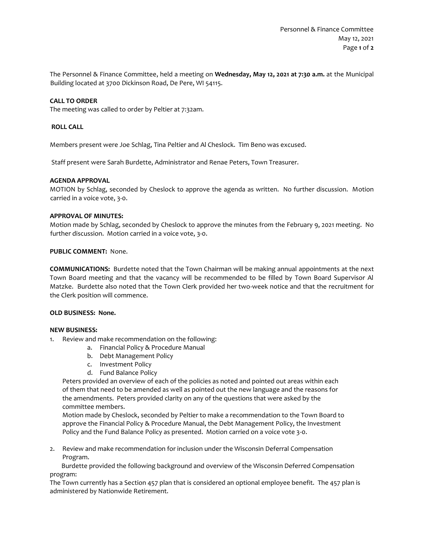The Personnel & Finance Committee, held a meeting on **Wednesday, May 12, 2021 at 7:30 a.m.** at the Municipal Building located at 3700 Dickinson Road, De Pere, WI 54115.

# **CALL TO ORDER**

The meeting was called to order by Peltier at 7:32am.

### **ROLL CALL**

Members present were Joe Schlag, Tina Peltier and Al Cheslock. Tim Beno was excused.

Staff present were Sarah Burdette, Administrator and Renae Peters, Town Treasurer.

### **AGENDA APPROVAL**

MOTION by Schlag, seconded by Cheslock to approve the agenda as written. No further discussion. Motion carried in a voice vote, 3-0.

#### **APPROVAL OF MINUTES:**

Motion made by Schlag, seconded by Cheslock to approve the minutes from the February 9, 2021 meeting. No further discussion. Motion carried in a voice vote, 3-0.

### **PUBLIC COMMENT:** None.

**COMMUNICATIONS:** Burdette noted that the Town Chairman will be making annual appointments at the next Town Board meeting and that the vacancy will be recommended to be filled by Town Board Supervisor Al Matzke. Burdette also noted that the Town Clerk provided her two-week notice and that the recruitment for the Clerk position will commence.

# **OLD BUSINESS: None.**

#### **NEW BUSINESS:**

- 1. Review and make recommendation on the following:
	- a. Financial Policy & Procedure Manual
	- b. Debt Management Policy
	- c. Investment Policy
	- d. Fund Balance Policy

Peters provided an overview of each of the policies as noted and pointed out areas within each of them that need to be amended as well as pointed out the new language and the reasons for the amendments. Peters provided clarity on any of the questions that were asked by the committee members.

Motion made by Cheslock, seconded by Peltier to make a recommendation to the Town Board to approve the Financial Policy & Procedure Manual, the Debt Management Policy, the Investment Policy and the Fund Balance Policy as presented. Motion carried on a voice vote 3-0.

2. Review and make recommendation for inclusion under the Wisconsin Deferral Compensation Program.

 Burdette provided the following background and overview of the Wisconsin Deferred Compensation program:

The Town currently has a Section 457 plan that is considered an optional employee benefit. The 457 plan is administered by Nationwide Retirement.